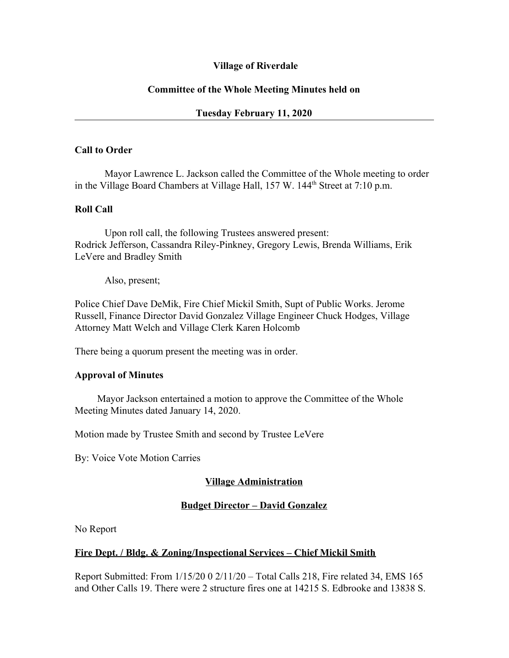### **Village of Riverdale**

### **Committee of the Whole Meeting Minutes held on**

### **Tuesday February 11, 2020**

#### **Call to Order**

Mayor Lawrence L. Jackson called the Committee of the Whole meeting to order in the Village Board Chambers at Village Hall, 157 W. 144<sup>th</sup> Street at 7:10 p.m.

#### **Roll Call**

Upon roll call, the following Trustees answered present: Rodrick Jefferson, Cassandra Riley-Pinkney, Gregory Lewis, Brenda Williams, Erik LeVere and Bradley Smith

Also, present;

Police Chief Dave DeMik, Fire Chief Mickil Smith, Supt of Public Works. Jerome Russell, Finance Director David Gonzalez Village Engineer Chuck Hodges, Village Attorney Matt Welch and Village Clerk Karen Holcomb

There being a quorum present the meeting was in order.

#### **Approval of Minutes**

Mayor Jackson entertained a motion to approve the Committee of the Whole Meeting Minutes dated January 14, 2020.

Motion made by Trustee Smith and second by Trustee LeVere

By: Voice Vote Motion Carries

#### **Village Administration**

#### **Budget Director – David Gonzalez**

No Report

#### **Fire Dept. / Bldg. & Zoning/Inspectional Services – Chief Mickil Smith**

Report Submitted: From 1/15/20 0 2/11/20 – Total Calls 218, Fire related 34, EMS 165 and Other Calls 19. There were 2 structure fires one at 14215 S. Edbrooke and 13838 S.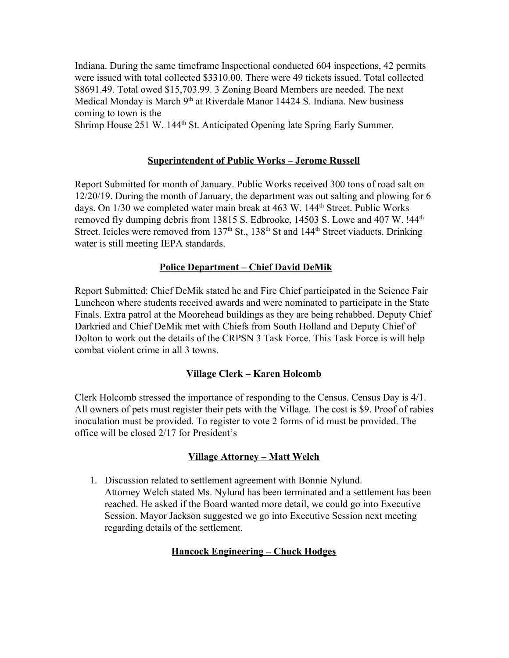Indiana. During the same timeframe Inspectional conducted 604 inspections, 42 permits were issued with total collected \$3310.00. There were 49 tickets issued. Total collected \$8691.49. Total owed \$15,703.99. 3 Zoning Board Members are needed. The next Medical Monday is March 9<sup>th</sup> at Riverdale Manor 14424 S. Indiana. New business coming to town is the

Shrimp House 251 W. 144<sup>th</sup> St. Anticipated Opening late Spring Early Summer.

# **Superintendent of Public Works – Jerome Russell**

Report Submitted for month of January. Public Works received 300 tons of road salt on 12/20/19. During the month of January, the department was out salting and plowing for 6 days. On 1/30 we completed water main break at 463 W. 144<sup>th</sup> Street. Public Works removed fly dumping debris from 13815 S. Edbrooke, 14503 S. Lowe and 407 W. !44<sup>th</sup> Street. Icicles were removed from  $137<sup>th</sup>$  St.,  $138<sup>th</sup>$  St and  $144<sup>th</sup>$  Street viaducts. Drinking water is still meeting IEPA standards.

# **Police Department – Chief David DeMik**

Report Submitted: Chief DeMik stated he and Fire Chief participated in the Science Fair Luncheon where students received awards and were nominated to participate in the State Finals. Extra patrol at the Moorehead buildings as they are being rehabbed. Deputy Chief Darkried and Chief DeMik met with Chiefs from South Holland and Deputy Chief of Dolton to work out the details of the CRPSN 3 Task Force. This Task Force is will help combat violent crime in all 3 towns.

# **Village Clerk – Karen Holcomb**

Clerk Holcomb stressed the importance of responding to the Census. Census Day is 4/1. All owners of pets must register their pets with the Village. The cost is \$9. Proof of rabies inoculation must be provided. To register to vote 2 forms of id must be provided. The office will be closed 2/17 for President's

## **Village Attorney – Matt Welch**

1. Discussion related to settlement agreement with Bonnie Nylund. Attorney Welch stated Ms. Nylund has been terminated and a settlement has been reached. He asked if the Board wanted more detail, we could go into Executive Session. Mayor Jackson suggested we go into Executive Session next meeting regarding details of the settlement.

# **Hancock Engineering – Chuck Hodges**